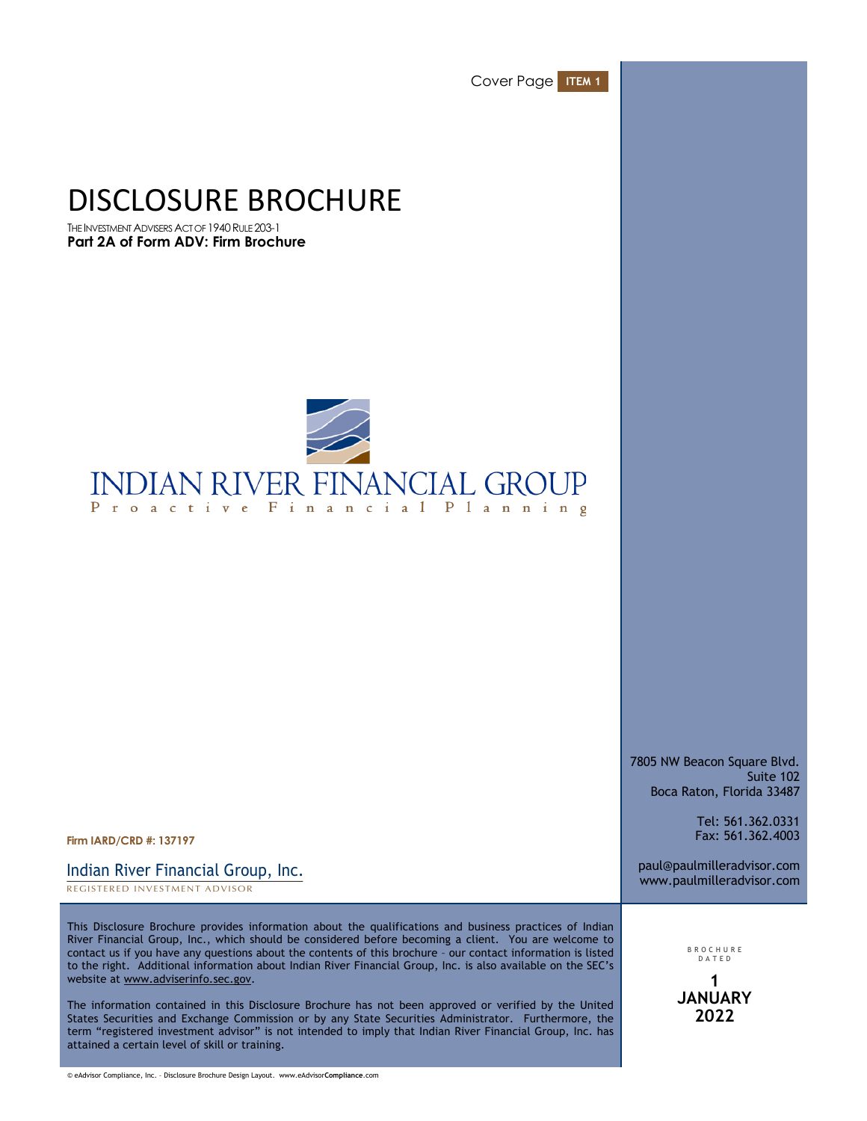Cover Page **ITEM 1**

# DISCLOSURE BROCHURE

THE INVESTMENT ADVISERS ACT OF 1940 RULE 203-1 **Part 2A of Form ADV: Firm Brochure**



7805 NW Beacon Square Blvd. Suite 102 Boca Raton, Florida 33487

paul@paulmilleradvisor.com www.paulmilleradvisor.com

Tel: 561.362.0331 Fax: 561.362.4003

**Firm IARD/CRD #: 137197**

REGISTERED INVESTMENT ADVISOR Indian River Financial Group, Inc.

This Disclosure Brochure provides information about the qualifications and business practices of Indian River Financial Group, Inc., which should be considered before becoming a client. You are welcome to contact us if you have any questions about the contents of this brochure – our contact information is listed to the right. Additional information about Indian River Financial Group, Inc. is also available on the SEC's website at www.adviserinfo.sec.gov.

The information contained in this Disclosure Brochure has not been approved or verified by the United States Securities and Exchange Commission or by any State Securities Administrator. Furthermore, the term "registered investment advisor" is not intended to imply that Indian River Financial Group, Inc. has attained a certain level of skill or training.

BROCHUR E DATE D **1 JANUARY 2022**

© eAdvisor Compliance, Inc. – Disclosure Brochure Design Layout. www.eAdvisor**Compliance**.com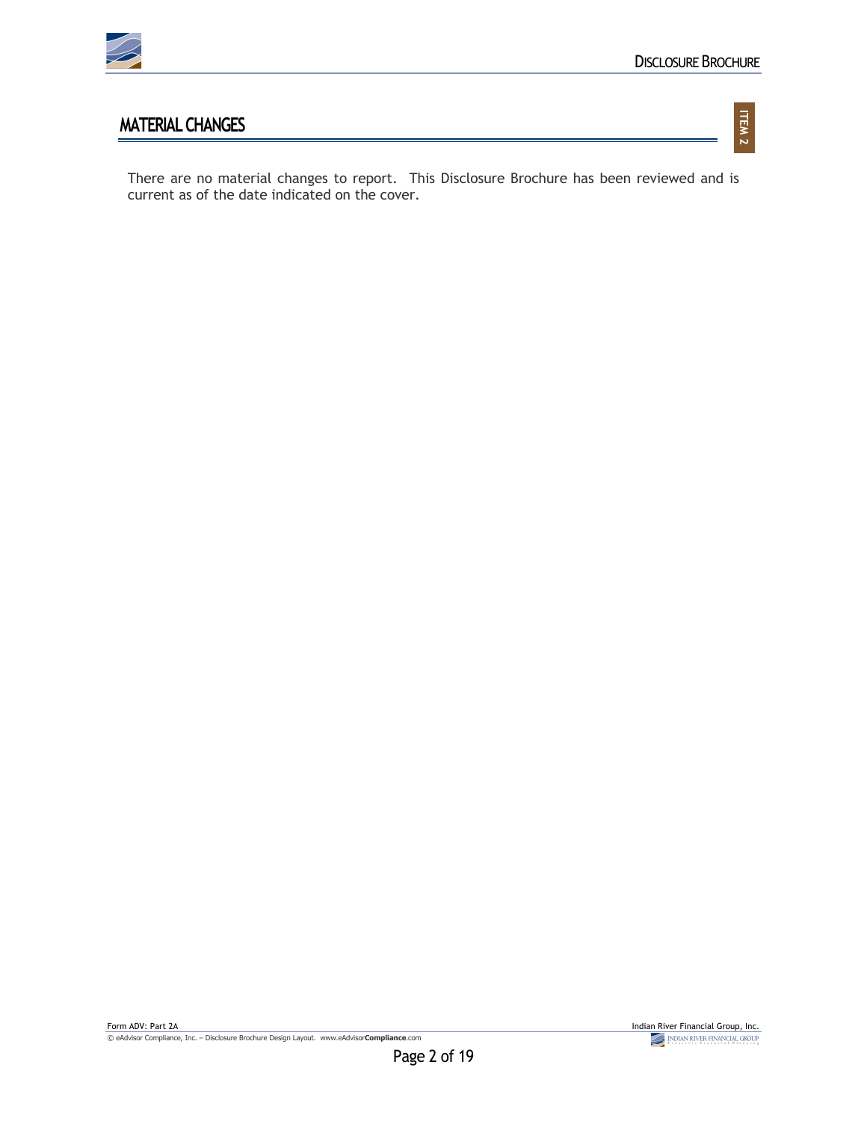

**ITEM 2**

## **MATERIAL CHANGES**

There are no material changes to report. This Disclosure Brochure has been reviewed and is current as of the date indicated on the cover.

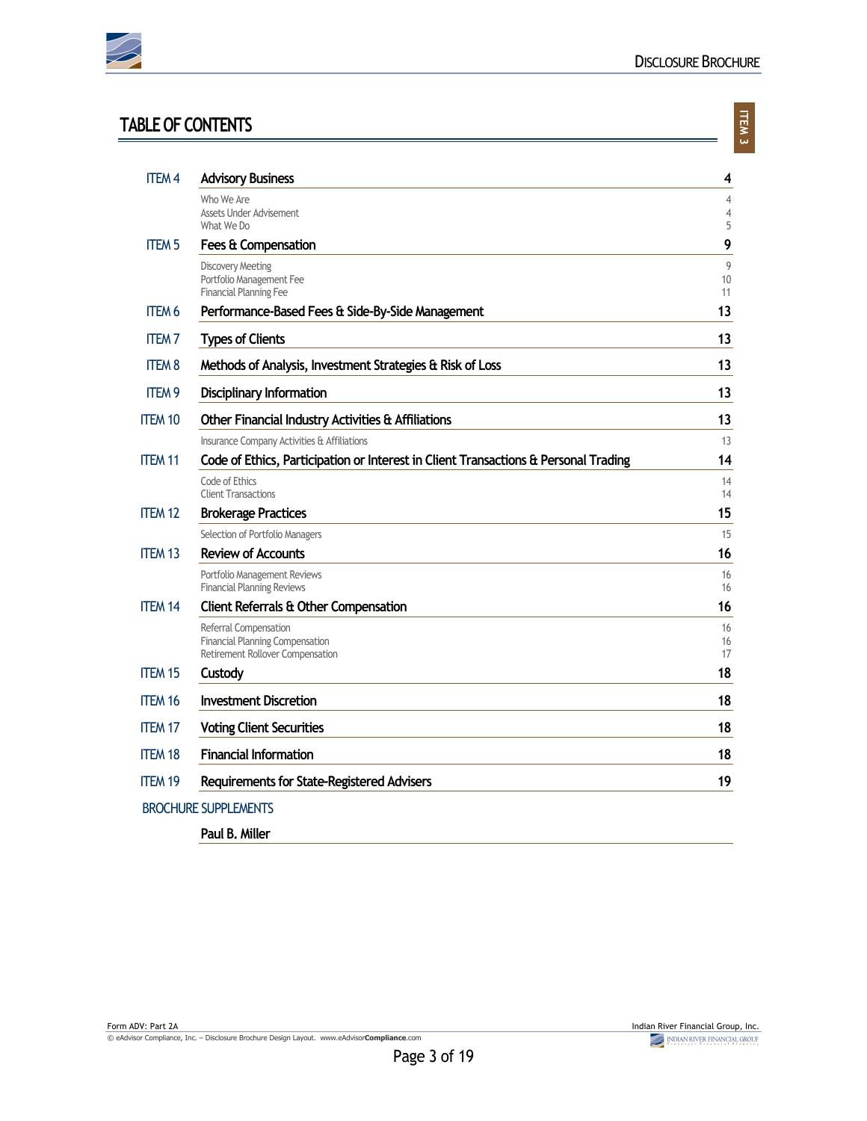

## **TABLE OF CONTENTS**

| ۹ |  |
|---|--|

| <b>ITEM4</b>   | <b>Advisory Business</b>                                                                            | 4                                     |
|----------------|-----------------------------------------------------------------------------------------------------|---------------------------------------|
|                | Who We Are<br><b>Assets Under Advisement</b><br>What We Do                                          | $\overline{4}$<br>$\overline{4}$<br>5 |
| <b>ITEM 5</b>  | Fees & Compensation                                                                                 | 9                                     |
|                | <b>Discovery Meeting</b><br>Portfolio Management Fee<br><b>Financial Planning Fee</b>               | 9<br>10<br>11                         |
| <b>ITEM 6</b>  | Performance-Based Fees & Side-By-Side Management                                                    | 13                                    |
| <b>ITEM7</b>   | <b>Types of Clients</b>                                                                             | 13                                    |
| <b>ITEM 8</b>  | Methods of Analysis, Investment Strategies & Risk of Loss                                           | 13                                    |
| <b>ITEM 9</b>  | <b>Disciplinary Information</b>                                                                     | 13                                    |
| <b>ITEM 10</b> | Other Financial Industry Activities & Affiliations                                                  | 13                                    |
|                | Insurance Company Activities & Affiliations                                                         | 13                                    |
| <b>ITEM 11</b> | Code of Ethics, Participation or Interest in Client Transactions & Personal Trading                 | 14                                    |
|                | Code of Ethics<br><b>Client Transactions</b>                                                        | 14<br>14                              |
| <b>ITEM 12</b> | <b>Brokerage Practices</b>                                                                          | 15                                    |
|                | Selection of Portfolio Managers                                                                     | 15                                    |
| <b>ITEM 13</b> | <b>Review of Accounts</b>                                                                           | 16                                    |
|                | Portfolio Management Reviews<br><b>Financial Planning Reviews</b>                                   | 16<br>16                              |
| <b>ITEM 14</b> | <b>Client Referrals &amp; Other Compensation</b>                                                    | 16                                    |
|                | Referral Compensation<br><b>Financial Planning Compensation</b><br>Retirement Rollover Compensation | 16<br>16<br>17                        |
| <b>ITEM 15</b> | Custody                                                                                             | 18                                    |
| <b>ITEM 16</b> | <b>Investment Discretion</b>                                                                        | 18                                    |
| <b>ITEM 17</b> | <b>Voting Client Securities</b>                                                                     | 18                                    |
| <b>ITEM 18</b> | <b>Financial Information</b>                                                                        | 18                                    |
| <b>ITEM 19</b> | <b>Requirements for State-Registered Advisers</b>                                                   | 19                                    |
|                | <b>BROCHURE SUPPLEMENTS</b>                                                                         |                                       |

**Paul B. Miller**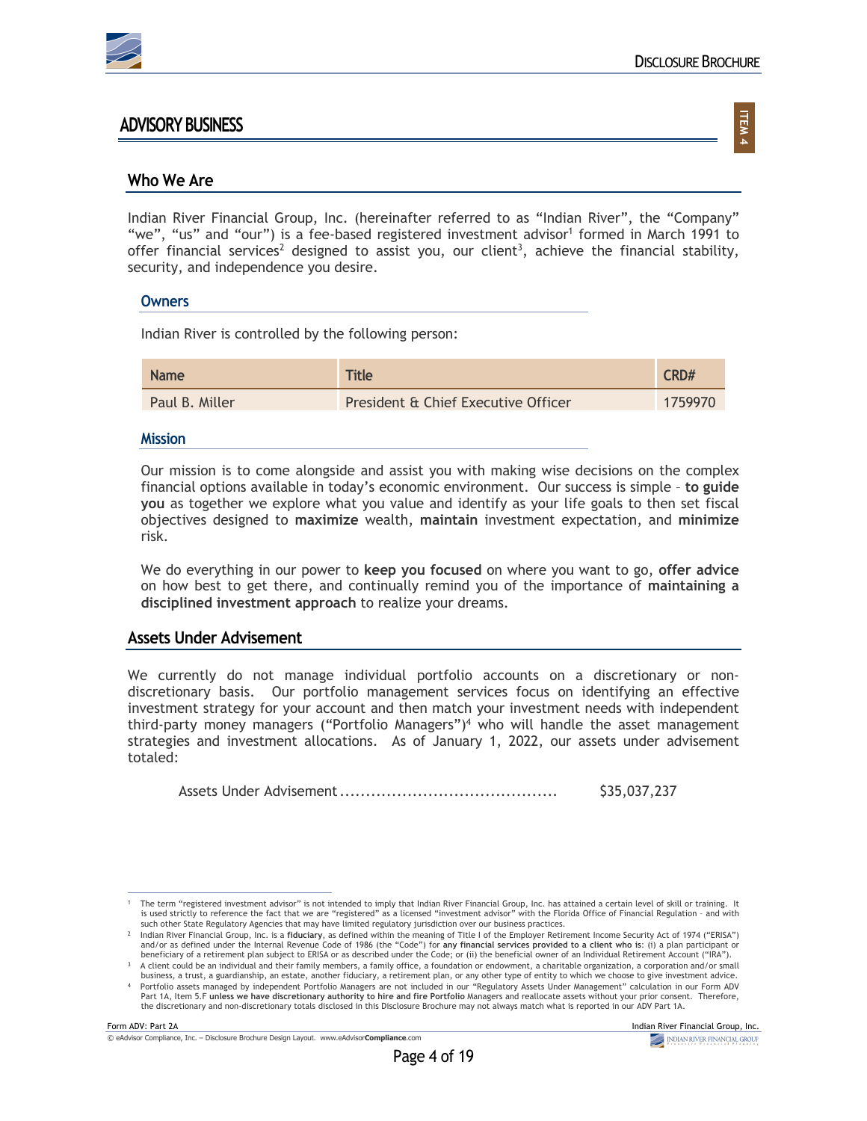

### **ADVISORY BUSINESS**

**ITEM 4**

### **Who We Are**

Indian River Financial Group, Inc. (hereinafter referred to as "Indian River", the "Company" "we", "us" and "our") is a fee-based registered investment advisor<sup>1</sup> formed in March 1991 to offer financial services<sup>2</sup> designed to assist you, our client<sup>3</sup>, achieve the financial stability, security, and independence you desire.

#### **Owners**

Indian River is controlled by the following person:

| <b>Name</b>    | <b>Title</b>                        | CRD#    |
|----------------|-------------------------------------|---------|
| Paul B. Miller | President & Chief Executive Officer | 1759970 |

#### **Mission**

Our mission is to come alongside and assist you with making wise decisions on the complex financial options available in today's economic environment. Our success is simple – **to guide you** as together we explore what you value and identify as your life goals to then set fiscal objectives designed to **maximize** wealth, **maintain** investment expectation, and **minimize** risk.

We do everything in our power to **keep you focused** on where you want to go, **offer advice** on how best to get there, and continually remind you of the importance of **maintaining a disciplined investment approach** to realize your dreams.

### **Assets Under Advisement**

We currently do not manage individual portfolio accounts on a discretionary or nondiscretionary basis. Our portfolio management services focus on identifying an effective investment strategy for your account and then match your investment needs with independent third-party money managers ("Portfolio Managers") $4$  who will handle the asset management strategies and investment allocations. As of January 1, 2022, our assets under advisement totaled:

Assets Under Advisement.......................................... \$35,037,237

<sup>1</sup> The term "registered investment advisor" is not intended to imply that Indian River Financial Group, Inc. has attained a certain level of skill or training. It is used strictly to reference the fact that we are "registered" as a licensed "investment advisor" with the Florida Office of Financial Regulation - and with<br>such other State Regulatory Agencies that may have limited regul

<sup>2</sup> Indian River Financial Group, Inc. is a **fiduciary**, as defined within the meaning of Title I of the Employer Retirement Income Security Act of 1974 ("ERISA") and/or as defined under the Internal Revenue Code of 1986 (the "Code") for **any financial services provided to a client who is**: (i) a plan participant or beneficiary of a retirement plan subject to ERISA or as described under the Code; or (ii) the beneficial owner of an Individual Retirement Account ("IRA").

<sup>3</sup> A client could be an individual and their family members, a family office, a foundation or endowment, a charitable organization, a corporation and/or small business, a trust, a guardianship, an estate, another fiduciary, a retirement plan, or any other type of entity to which we choose to give investment advice.

<sup>4</sup> Portfolio assets managed by independent Portfolio Managers are not included in our "Regulatory Assets Under Management" calculation in our Form ADV Part 1A, Item 5.F **unless we have discretionary authority to hire and fire Portfolio** Managers and reallocate assets without your prior consent. Therefore, the discretionary and non-discretionary totals disclosed in this Disclosure Brochure may not always match what is reported in our ADV Part 1A.

Form ADV: Part 2A Indian River Financial Group, Inc.<br>
© eAdvisor Compliance, Inc. – Disdosure Brochure Design Layout. www.eAdvisorCompliance.com **Complete Advisor Compliant** © eAdvisor Compliance, Inc. – Disclosure Brochure Design Layout. www.eAdvisor**Compliance**.com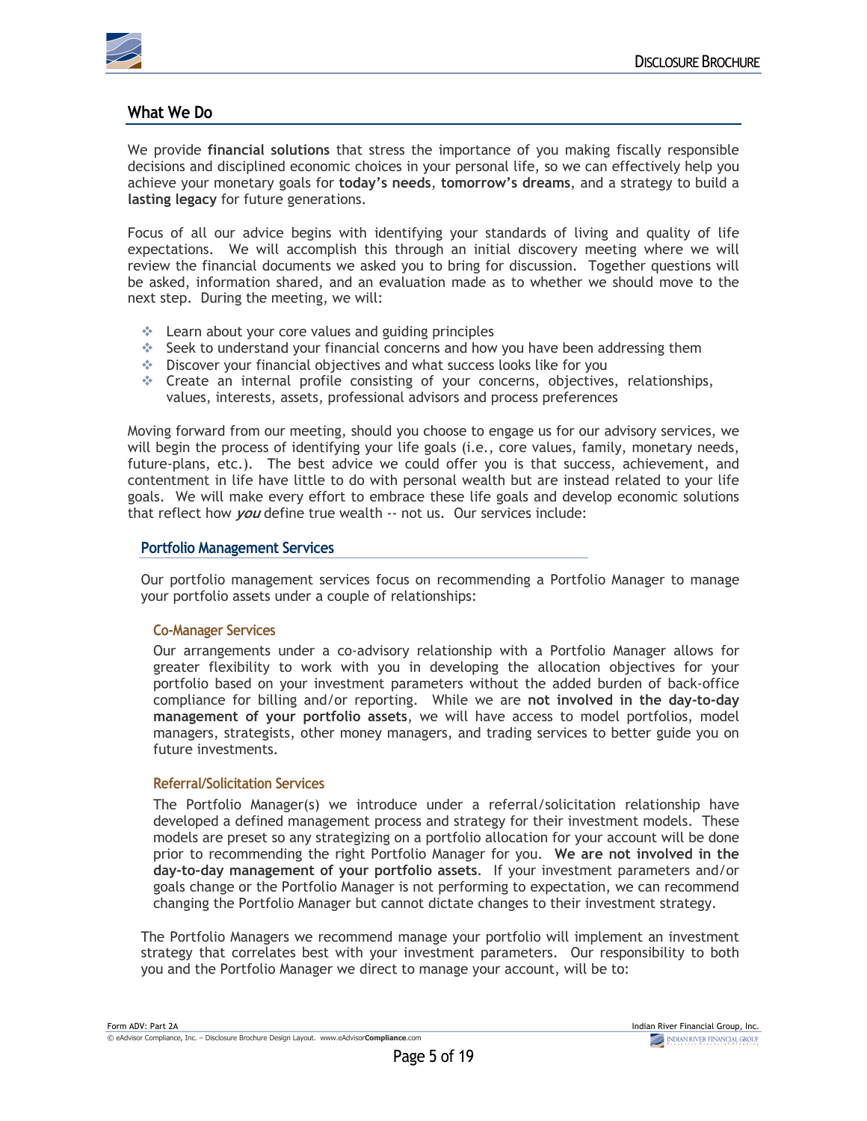

### **What We Do**

We provide **financial solutions** that stress the importance of you making fiscally responsible decisions and disciplined economic choices in your personal life, so we can effectively help you achieve your monetary goals for **today's needs**, **tomorrow's dreams**, and a strategy to build a **lasting legacy** for future generations.

Focus of all our advice begins with identifying your standards of living and quality of life expectations. We will accomplish this through an initial discovery meeting where we will review the financial documents we asked you to bring for discussion. Together questions will be asked, information shared, and an evaluation made as to whether we should move to the next step. During the meeting, we will:

- $\triangleq$  Learn about your core values and guiding principles
- $\div$  Seek to understand your financial concerns and how you have been addressing them
- $\cdot$  Discover your financial objectives and what success looks like for you
- $\div$  Create an internal profile consisting of your concerns, objectives, relationships, values, interests, assets, professional advisors and process preferences

Moving forward from our meeting, should you choose to engage us for our advisory services, we will begin the process of identifying your life goals (i.e., core values, family, monetary needs, future-plans, etc.). The best advice we could offer you is that success, achievement, and contentment in life have little to do with personal wealth but are instead related to your life goals. We will make every effort to embrace these life goals and develop economic solutions that reflect how **you** define true wealth -- not us. Our services include:

#### **Portfolio Management Services**

Our portfolio management services focus on recommending a Portfolio Manager to manage your portfolio assets under a couple of relationships:

### **Co-Manager Services**

Our arrangements under a co-advisory relationship with a Portfolio Manager allows for greater flexibility to work with you in developing the allocation objectives for your portfolio based on your investment parameters without the added burden of back-office compliance for billing and/or reporting. While we are **not involved in the day-to-day management of your portfolio assets**, we will have access to model portfolios, model managers, strategists, other money managers, and trading services to better guide you on future investments.

#### **Referral/Solicitation Services**

The Portfolio Manager(s) we introduce under a referral/solicitation relationship have developed a defined management process and strategy for their investment models. These models are preset so any strategizing on a portfolio allocation for your account will be done prior to recommending the right Portfolio Manager for you. **We are not involved in the day-to-day management of your portfolio assets**. If your investment parameters and/or goals change or the Portfolio Manager is not performing to expectation, we can recommend changing the Portfolio Manager but cannot dictate changes to their investment strategy.

The Portfolio Managers we recommend manage your portfolio will implement an investment strategy that correlates best with your investment parameters. Our responsibility to both you and the Portfolio Manager we direct to manage your account, will be to: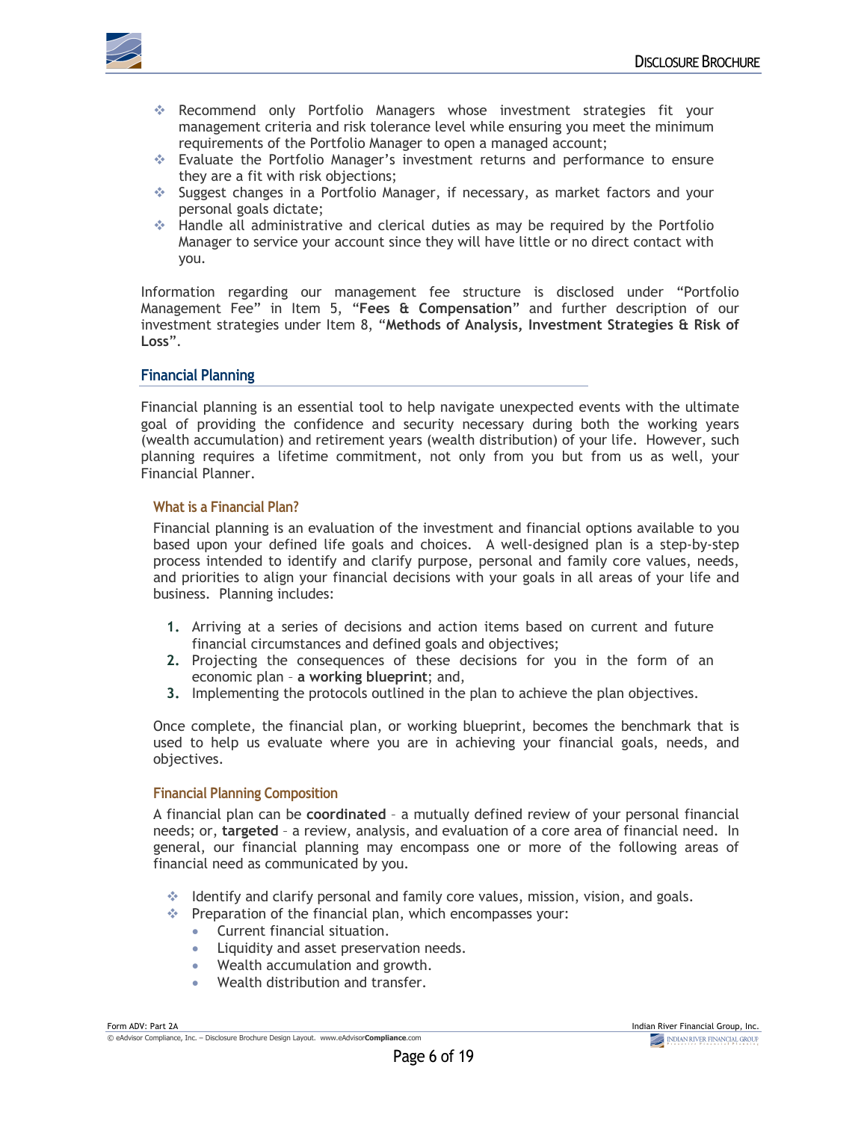

- v Recommend only Portfolio Managers whose investment strategies fit your management criteria and risk tolerance level while ensuring you meet the minimum requirements of the Portfolio Manager to open a managed account;
- v Evaluate the Portfolio Manager's investment returns and performance to ensure they are a fit with risk objections;
- v Suggest changes in a Portfolio Manager, if necessary, as market factors and your personal goals dictate;
- $*$  Handle all administrative and clerical duties as may be required by the Portfolio Manager to service your account since they will have little or no direct contact with you.

Information regarding our management fee structure is disclosed under "Portfolio Management Fee" in Item 5, "**Fees & Compensation**" and further description of our investment strategies under Item 8, "**Methods of Analysis, Investment Strategies & Risk of Loss**".

#### **Financial Planning**

Financial planning is an essential tool to help navigate unexpected events with the ultimate goal of providing the confidence and security necessary during both the working years (wealth accumulation) and retirement years (wealth distribution) of your life. However, such planning requires a lifetime commitment, not only from you but from us as well, your Financial Planner.

#### **What is a Financial Plan?**

Financial planning is an evaluation of the investment and financial options available to you based upon your defined life goals and choices. A well-designed plan is a step-by-step process intended to identify and clarify purpose, personal and family core values, needs, and priorities to align your financial decisions with your goals in all areas of your life and business. Planning includes:

- **1.** Arriving at a series of decisions and action items based on current and future financial circumstances and defined goals and objectives;
- **2.** Projecting the consequences of these decisions for you in the form of an economic plan – **a working blueprint**; and,
- **3.** Implementing the protocols outlined in the plan to achieve the plan objectives.

Once complete, the financial plan, or working blueprint, becomes the benchmark that is used to help us evaluate where you are in achieving your financial goals, needs, and objectives.

#### **Financial Planning Composition**

A financial plan can be **coordinated** – a mutually defined review of your personal financial needs; or, **targeted** – a review, analysis, and evaluation of a core area of financial need. In general, our financial planning may encompass one or more of the following areas of financial need as communicated by you.

- $\div$  Identify and clarify personal and family core values, mission, vision, and goals.
- $\cdot$  Preparation of the financial plan, which encompasses your:
	- Current financial situation.
	- Liquidity and asset preservation needs.
	- Wealth accumulation and growth.
	- Wealth distribution and transfer.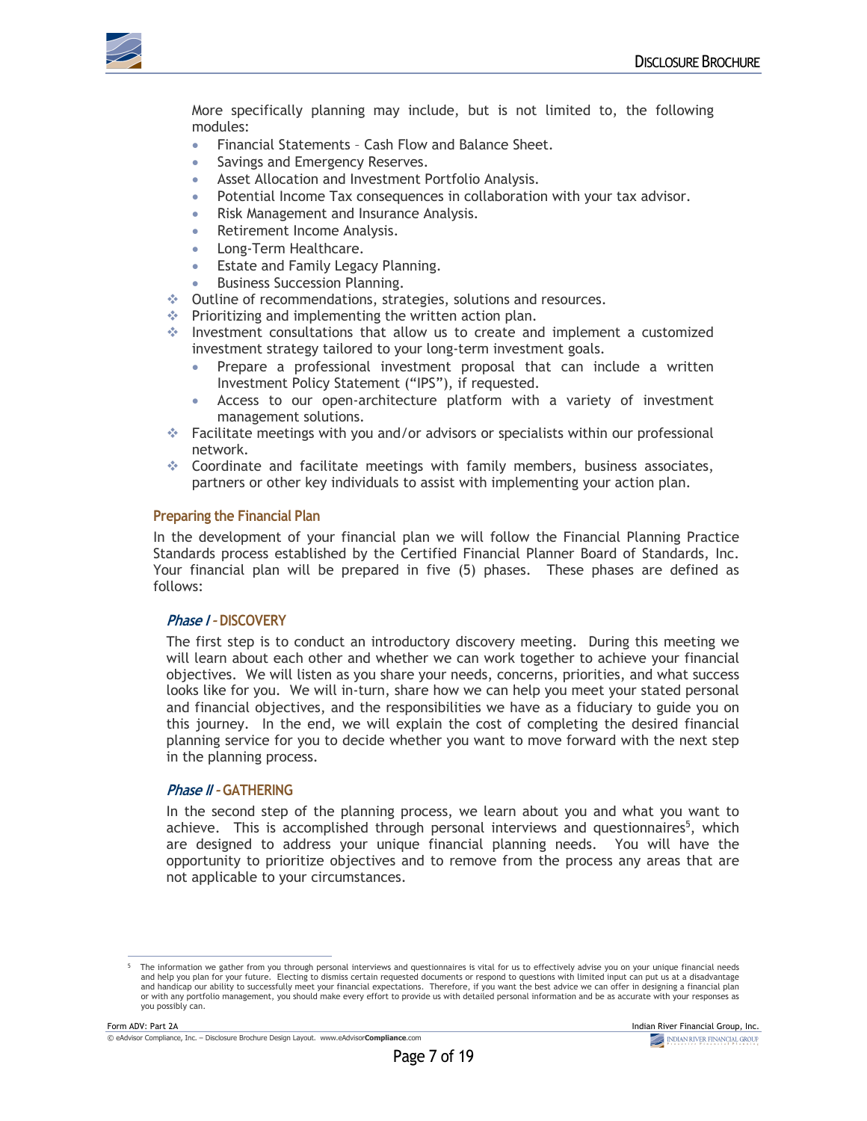

More specifically planning may include, but is not limited to, the following modules:

- Financial Statements Cash Flow and Balance Sheet.
- Savings and Emergency Reserves.
- Asset Allocation and Investment Portfolio Analysis.
- Potential Income Tax consequences in collaboration with your tax advisor.
- Risk Management and Insurance Analysis.
- Retirement Income Analysis.
- Long-Term Healthcare.
- **Estate and Family Legacy Planning.**
- Business Succession Planning.
- v Outline of recommendations, strategies, solutions and resources.
- $*$  Prioritizing and implementing the written action plan.
- $\div$  Investment consultations that allow us to create and implement a customized investment strategy tailored to your long-term investment goals.
	- Prepare a professional investment proposal that can include a written Investment Policy Statement ("IPS"), if requested.
	- Access to our open-architecture platform with a variety of investment management solutions.
- $\bullet$  Facilitate meetings with you and/or advisors or specialists within our professional network.
- $\triangleq$  Coordinate and facilitate meetings with family members, business associates, partners or other key individuals to assist with implementing your action plan.

#### **Preparing the Financial Plan**

In the development of your financial plan we will follow the Financial Planning Practice Standards process established by the Certified Financial Planner Board of Standards, Inc. Your financial plan will be prepared in five (5) phases. These phases are defined as follows:

#### **Phase I – DISCOVERY**

The first step is to conduct an introductory discovery meeting. During this meeting we will learn about each other and whether we can work together to achieve your financial objectives. We will listen as you share your needs, concerns, priorities, and what success looks like for you. We will in-turn, share how we can help you meet your stated personal and financial objectives, and the responsibilities we have as a fiduciary to guide you on this journey. In the end, we will explain the cost of completing the desired financial planning service for you to decide whether you want to move forward with the next step in the planning process.

#### **Phase II – GATHERING**

In the second step of the planning process, we learn about you and what you want to achieve. This is accomplished through personal interviews and questionnaires<sup>5</sup>, which are designed to address your unique financial planning needs. You will have the opportunity to prioritize objectives and to remove from the process any areas that are not applicable to your circumstances.

<sup>5</sup> The information we gather from you through personal interviews and questionnaires is vital for us to effectively advise you on your unique financial needs and help you plan for your future. Electing to dismiss certain requested documents or respond to questions with limited input can put us at a disadvantage and handicap our ability to successfully meet your financial expectations. Therefore, if you want the best advice we can offer in designing a financial plan or with any portfolio management, you should make every effort to provide us with detailed personal information and be as accurate with your responses as you possibly can.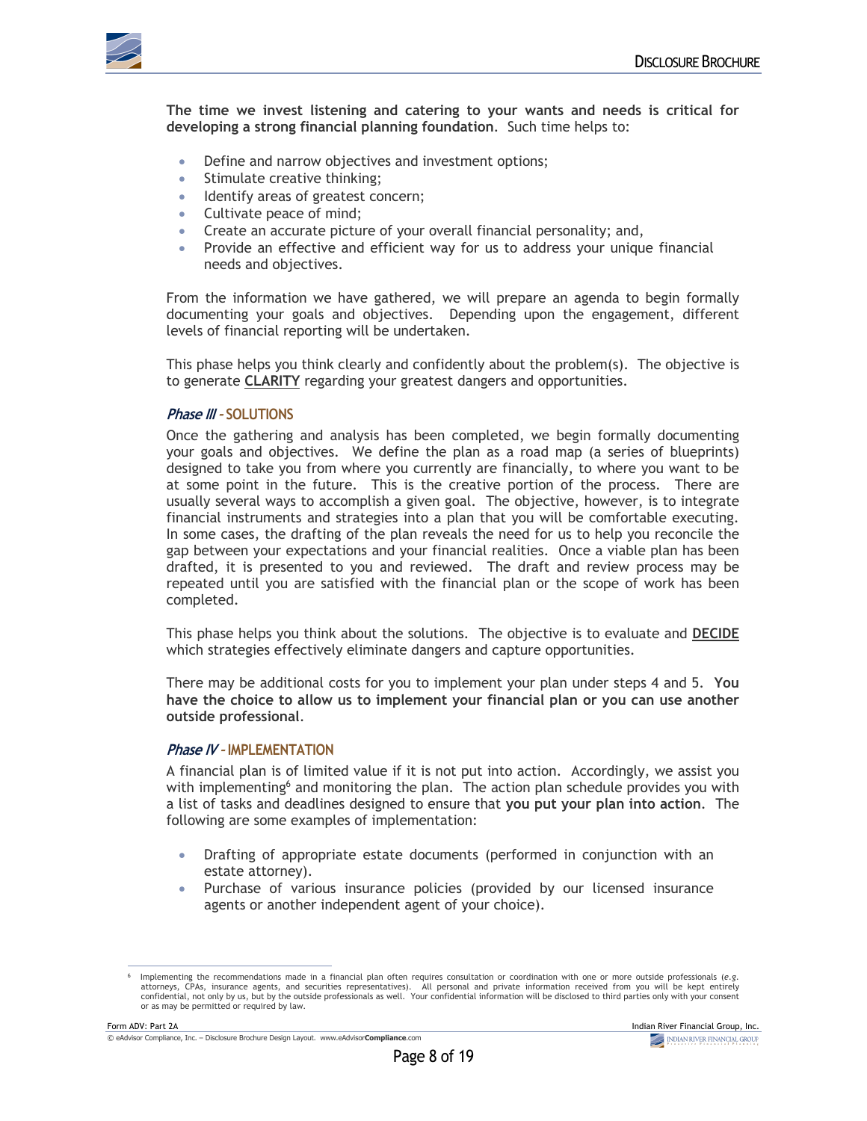

**The time we invest listening and catering to your wants and needs is critical for developing a strong financial planning foundation**. Such time helps to:

- Define and narrow objectives and investment options;
- Stimulate creative thinking;
- Identify areas of greatest concern;
- Cultivate peace of mind;
- Create an accurate picture of your overall financial personality; and,
- Provide an effective and efficient way for us to address your unique financial needs and objectives.

From the information we have gathered, we will prepare an agenda to begin formally documenting your goals and objectives. Depending upon the engagement, different levels of financial reporting will be undertaken.

This phase helps you think clearly and confidently about the problem(s). The objective is to generate **CLARITY** regarding your greatest dangers and opportunities.

#### **Phase III – SOLUTIONS**

Once the gathering and analysis has been completed, we begin formally documenting your goals and objectives. We define the plan as a road map (a series of blueprints) designed to take you from where you currently are financially, to where you want to be at some point in the future. This is the creative portion of the process. There are usually several ways to accomplish a given goal. The objective, however, is to integrate financial instruments and strategies into a plan that you will be comfortable executing. In some cases, the drafting of the plan reveals the need for us to help you reconcile the gap between your expectations and your financial realities. Once a viable plan has been drafted, it is presented to you and reviewed. The draft and review process may be repeated until you are satisfied with the financial plan or the scope of work has been completed.

This phase helps you think about the solutions. The objective is to evaluate and **DECIDE** which strategies effectively eliminate dangers and capture opportunities.

There may be additional costs for you to implement your plan under steps 4 and 5. **You have the choice to allow us to implement your financial plan or you can use another outside professional**.

#### **Phase IV – IMPLEMENTATION**

A financial plan is of limited value if it is not put into action. Accordingly, we assist you with implementing $6$  and monitoring the plan. The action plan schedule provides you with a list of tasks and deadlines designed to ensure that **you put your plan into action**. The following are some examples of implementation:

- Drafting of appropriate estate documents (performed in conjunction with an estate attorney).
- Purchase of various insurance policies (provided by our licensed insurance agents or another independent agent of your choice).

<sup>-</sup> Implementing the recommendations made in a financial plan often requires consultation or coordination with one or more outside professionals (e.g.<br>attorneys, CPAs, insurance agents, and securities representatives). All p confidential, not only by us, but by the outside professionals as well. Your confidential information will be disclosed to third parties only with your consent or as may be permitted or required by law.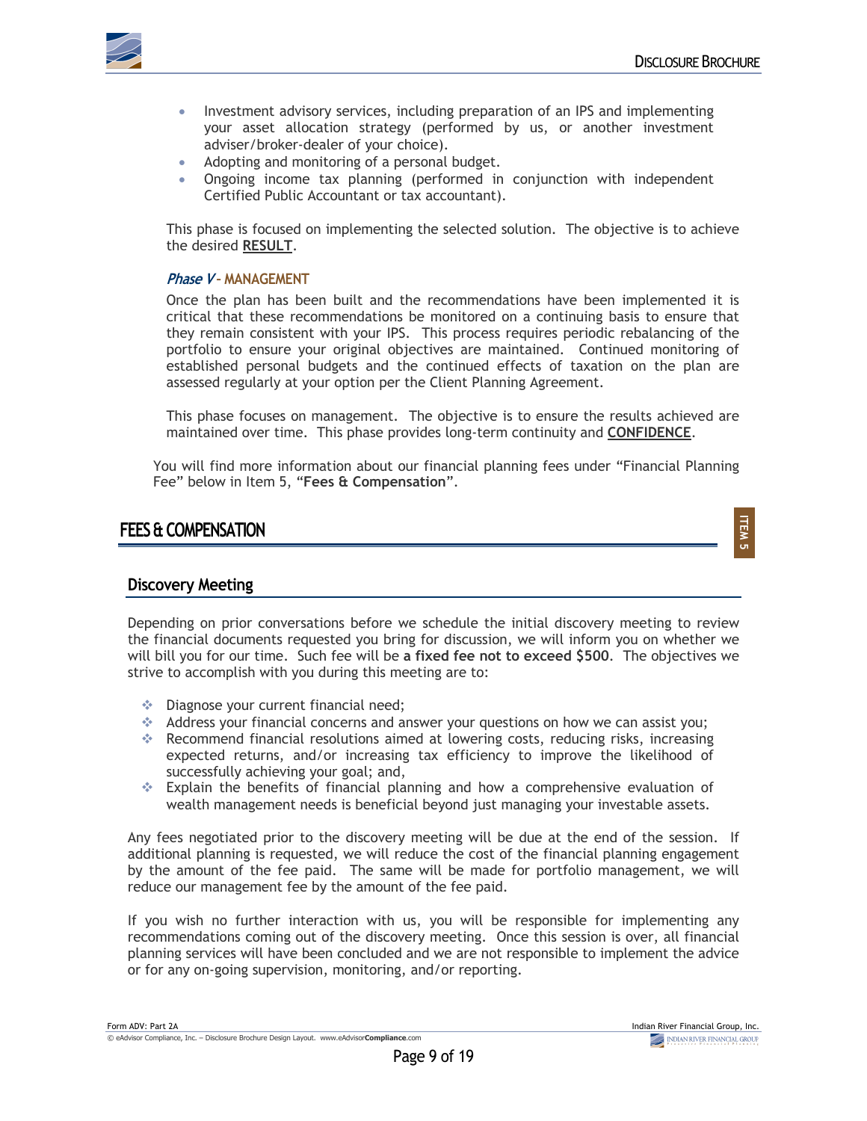**ITEM 5**



- Investment advisory services, including preparation of an IPS and implementing your asset allocation strategy (performed by us, or another investment adviser/broker-dealer of your choice).
- Adopting and monitoring of a personal budget.
- Ongoing income tax planning (performed in conjunction with independent Certified Public Accountant or tax accountant).

This phase is focused on implementing the selected solution. The objective is to achieve the desired **RESULT**.

#### **Phase V – MANAGEMENT**

Once the plan has been built and the recommendations have been implemented it is critical that these recommendations be monitored on a continuing basis to ensure that they remain consistent with your IPS. This process requires periodic rebalancing of the portfolio to ensure your original objectives are maintained. Continued monitoring of established personal budgets and the continued effects of taxation on the plan are assessed regularly at your option per the Client Planning Agreement.

This phase focuses on management. The objective is to ensure the results achieved are maintained over time. This phase provides long-term continuity and **CONFIDENCE**.

You will find more information about our financial planning fees under "Financial Planning Fee" below in Item 5, "**Fees & Compensation**".

### **FEES & COMPENSATION**

### **Discovery Meeting**

Depending on prior conversations before we schedule the initial discovery meeting to review the financial documents requested you bring for discussion, we will inform you on whether we will bill you for our time. Such fee will be **a fixed fee not to exceed \$500**. The objectives we strive to accomplish with you during this meeting are to:

- $\triangleq$  Diagnose your current financial need;
- Address your financial concerns and answer your questions on how we can assist you;
- $\div$  Recommend financial resolutions aimed at lowering costs, reducing risks, increasing expected returns, and/or increasing tax efficiency to improve the likelihood of successfully achieving your goal; and,
- $\div$  Explain the benefits of financial planning and how a comprehensive evaluation of wealth management needs is beneficial beyond just managing your investable assets.

Any fees negotiated prior to the discovery meeting will be due at the end of the session. If additional planning is requested, we will reduce the cost of the financial planning engagement by the amount of the fee paid. The same will be made for portfolio management, we will reduce our management fee by the amount of the fee paid.

If you wish no further interaction with us, you will be responsible for implementing any recommendations coming out of the discovery meeting. Once this session is over, all financial planning services will have been concluded and we are not responsible to implement the advice or for any on-going supervision, monitoring, and/or reporting.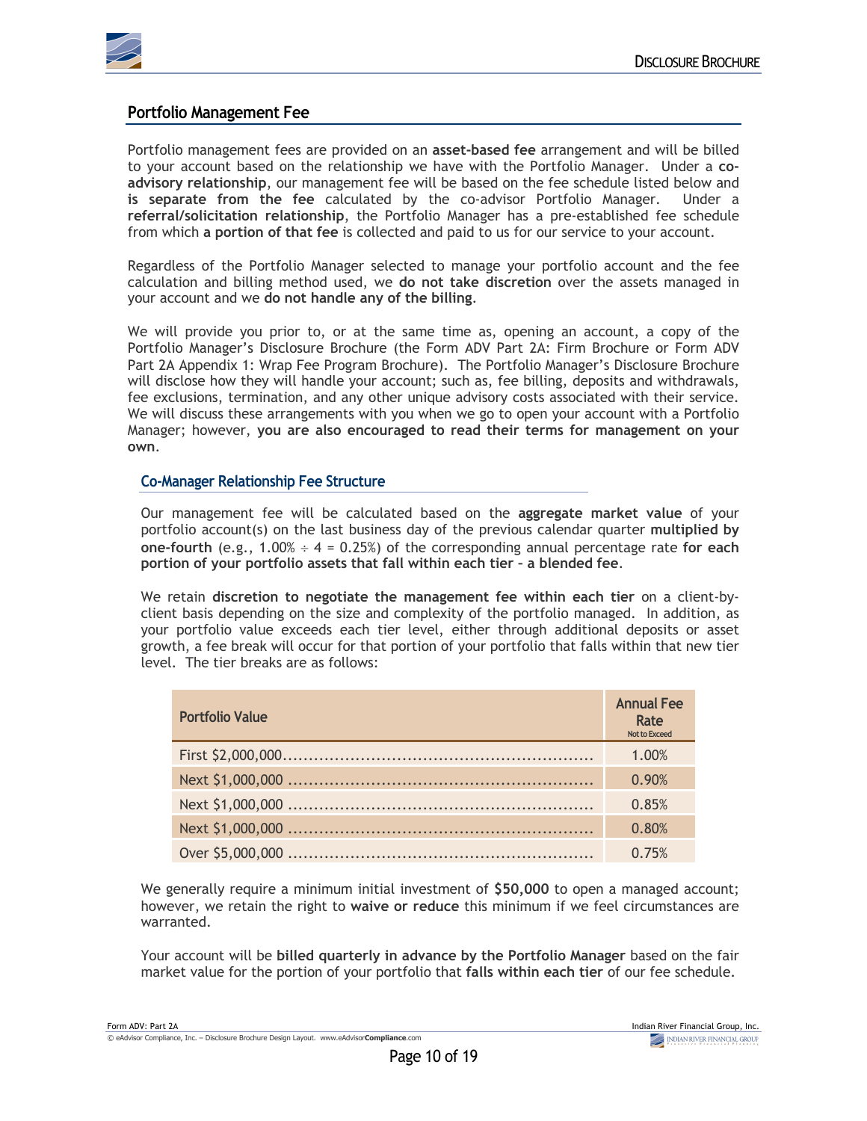

### **Portfolio Management Fee**

Portfolio management fees are provided on an **asset-based fee** arrangement and will be billed to your account based on the relationship we have with the Portfolio Manager. Under a **coadvisory relationship**, our management fee will be based on the fee schedule listed below and **is separate from the fee** calculated by the co-advisor Portfolio Manager. Under a **referral/solicitation relationship**, the Portfolio Manager has a pre-established fee schedule from which **a portion of that fee** is collected and paid to us for our service to your account.

Regardless of the Portfolio Manager selected to manage your portfolio account and the fee calculation and billing method used, we **do not take discretion** over the assets managed in your account and we **do not handle any of the billing**.

We will provide you prior to, or at the same time as, opening an account, a copy of the Portfolio Manager's Disclosure Brochure (the Form ADV Part 2A: Firm Brochure or Form ADV Part 2A Appendix 1: Wrap Fee Program Brochure). The Portfolio Manager's Disclosure Brochure will disclose how they will handle your account; such as, fee billing, deposits and withdrawals, fee exclusions, termination, and any other unique advisory costs associated with their service. We will discuss these arrangements with you when we go to open your account with a Portfolio Manager; however, **you are also encouraged to read their terms for management on your own**.

### **Co-Manager Relationship Fee Structure**

Our management fee will be calculated based on the **aggregate market value** of your portfolio account(s) on the last business day of the previous calendar quarter **multiplied by one-fourth** (e.g., 1.00% ÷ 4 = 0.25%) of the corresponding annual percentage rate **for each portion of your portfolio assets that fall within each tier – a blended fee**.

We retain **discretion to negotiate the management fee within each tier** on a client-byclient basis depending on the size and complexity of the portfolio managed. In addition, as your portfolio value exceeds each tier level, either through additional deposits or asset growth, a fee break will occur for that portion of your portfolio that falls within that new tier level. The tier breaks are as follows:

| <b>Portfolio Value</b> | <b>Annual Fee</b><br>Rate<br><b>Not to Exceed</b> |
|------------------------|---------------------------------------------------|
|                        | 1.00%                                             |
|                        | 0.90%                                             |
|                        | 0.85%                                             |
|                        | 0.80%                                             |
|                        | 0.75%                                             |

We generally require a minimum initial investment of **\$50,000** to open a managed account; however, we retain the right to **waive or reduce** this minimum if we feel circumstances are warranted.

Your account will be **billed quarterly in advance by the Portfolio Manager** based on the fair market value for the portion of your portfolio that **falls within each tier** of our fee schedule.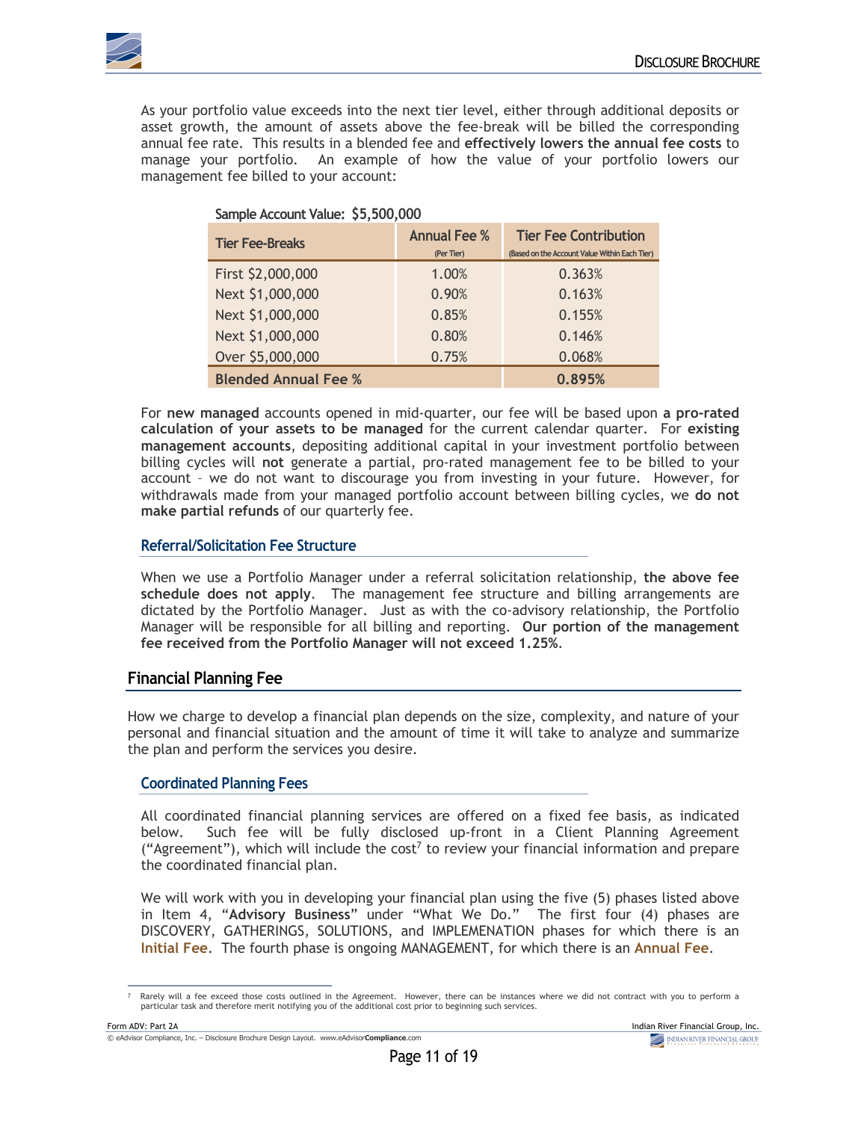

As your portfolio value exceeds into the next tier level, either through additional deposits or asset growth, the amount of assets above the fee-break will be billed the corresponding annual fee rate. This results in a blended fee and **effectively lowers the annual fee costs** to manage your portfolio. An example of how the value of your portfolio lowers our management fee billed to your account:

| Sample Account Value: \$5,500,000 |                     |                                               |  |
|-----------------------------------|---------------------|-----------------------------------------------|--|
| <b>Tier Fee-Breaks</b>            | <b>Annual Fee %</b> | <b>Tier Fee Contribution</b>                  |  |
|                                   | (Per Tier)          | (Based on the Account Value Within Each Tier) |  |
| First \$2,000,000                 | 1.00%               | 0.363%                                        |  |
| Next \$1,000,000                  | 0.90%               | 0.163%                                        |  |
| Next \$1,000,000                  | 0.85%               | 0.155%                                        |  |
| Next \$1,000,000                  | 0.80%               | 0.146%                                        |  |
| Over \$5,000,000                  | 0.75%               | 0.068%                                        |  |
| <b>Blended Annual Fee %</b>       |                     | 0.895%                                        |  |

For **new managed** accounts opened in mid-quarter, our fee will be based upon **a pro-rated calculation of your assets to be managed** for the current calendar quarter. For **existing management accounts**, depositing additional capital in your investment portfolio between billing cycles will **not** generate a partial, pro-rated management fee to be billed to your account – we do not want to discourage you from investing in your future. However, for withdrawals made from your managed portfolio account between billing cycles, we **do not make partial refunds** of our quarterly fee.

### **Referral/Solicitation Fee Structure**

When we use a Portfolio Manager under a referral solicitation relationship, **the above fee schedule does not apply**. The management fee structure and billing arrangements are dictated by the Portfolio Manager. Just as with the co-advisory relationship, the Portfolio Manager will be responsible for all billing and reporting. **Our portion of the management fee received from the Portfolio Manager will not exceed 1.25%**.

### **Financial Planning Fee**

How we charge to develop a financial plan depends on the size, complexity, and nature of your personal and financial situation and the amount of time it will take to analyze and summarize the plan and perform the services you desire.

### **Coordinated Planning Fees**

All coordinated financial planning services are offered on a fixed fee basis, as indicated below. Such fee will be fully disclosed up-front in a Client Planning Agreement ("Agreement"), which will include the cost<sup>7</sup> to review your financial information and prepare the coordinated financial plan.

We will work with you in developing your financial plan using the five (5) phases listed above in Item 4, "**Advisory Business**" under "What We Do." The first four (4) phases are DISCOVERY, GATHERINGS, SOLUTIONS, and IMPLEMENATION phases for which there is an **Initial Fee**. The fourth phase is ongoing MANAGEMENT, for which there is an **Annual Fee**.

Rarely will a fee exceed those costs outlined in the Agreement. However, there can be instances where we did not contract with you to perform a particular task and therefore merit notifying you of the additional cost prior to beginning such services.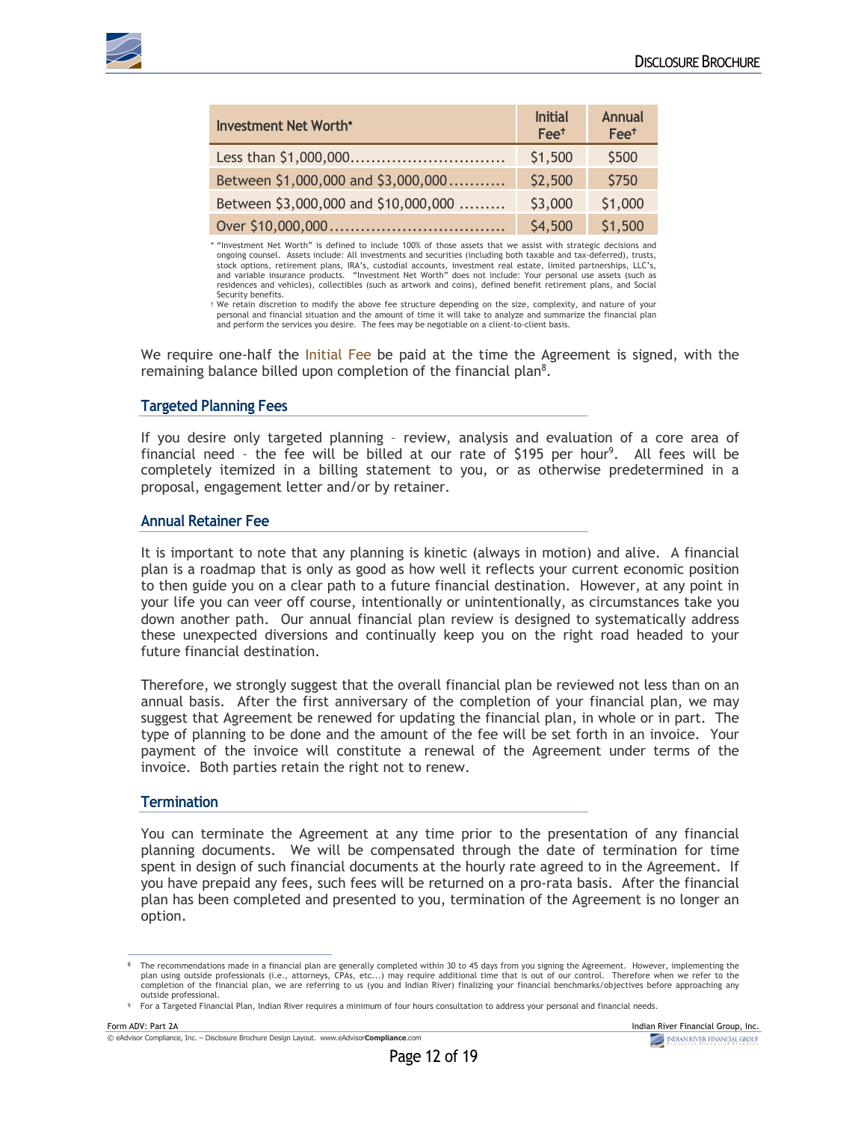

| <b>Investment Net Worth*</b>         | <b>Initial</b><br>Fee <sup>+</sup> | <b>Annual</b><br>Fee <sup>†</sup> |
|--------------------------------------|------------------------------------|-----------------------------------|
|                                      | \$1,500                            | \$500                             |
| Between \$1,000,000 and \$3,000,000  | \$2,500                            | \$750                             |
| Between \$3,000,000 and \$10,000,000 | \$3,000                            | \$1,000                           |
|                                      | \$4,500                            | \$1,500                           |

\* "Investment Net Worth" is defined to include 100% of those assets that we assist with strategic decisions and ongoing counsel. Assets include: All investments and securities (including both taxable and tax-deferred), trusts, stock options, retirement plans, IRA's, custodial accounts, investment real estate, limited partnerships, LLC's,<br>and variable insurance products. "Investment Net Worth" does not include: Your personal use assets (such as residences and vehicles), collectibles (such as artwork and coins), defined benefit retirement plans, and Social Security benefits.

† We retain discretion to modify the above fee structure depending on the size, complexity, and nature of your personal and financial situation and the amount of time it will take to analyze and summarize the financial plan and perform the services you desire. The fees may be negotiable on a client-to-client basis.

We require one-half the Initial Fee be paid at the time the Agreement is signed, with the remaining balance billed upon completion of the financial plan<sup>8</sup>.

#### **Targeted Planning Fees**

If you desire only targeted planning – review, analysis and evaluation of a core area of financial need - the fee will be billed at our rate of  $$195$  per hour<sup>9</sup>. All fees will be completely itemized in a billing statement to you, or as otherwise predetermined in a proposal, engagement letter and/or by retainer.

#### **Annual Retainer Fee**

It is important to note that any planning is kinetic (always in motion) and alive. A financial plan is a roadmap that is only as good as how well it reflects your current economic position to then guide you on a clear path to a future financial destination. However, at any point in your life you can veer off course, intentionally or unintentionally, as circumstances take you down another path. Our annual financial plan review is designed to systematically address these unexpected diversions and continually keep you on the right road headed to your future financial destination.

Therefore, we strongly suggest that the overall financial plan be reviewed not less than on an annual basis. After the first anniversary of the completion of your financial plan, we may suggest that Agreement be renewed for updating the financial plan, in whole or in part. The type of planning to be done and the amount of the fee will be set forth in an invoice. Your payment of the invoice will constitute a renewal of the Agreement under terms of the invoice. Both parties retain the right not to renew.

#### **Termination**

You can terminate the Agreement at any time prior to the presentation of any financial planning documents. We will be compensated through the date of termination for time spent in design of such financial documents at the hourly rate agreed to in the Agreement. If you have prepaid any fees, such fees will be returned on a pro-rata basis. After the financial plan has been completed and presented to you, termination of the Agreement is no longer an option.

The recommendations made in a financial plan are generally completed within 30 to 45 days from you signing the Agreement. However, implementing the קpter and block of our commenting the<br>plan using outside professionals (i completion of the financial plan, we are referring to us (you and Indian River) finalizing your financial benchmarks/objectives before approaching any outside professional.

<sup>9</sup> For a Targeted Financial Plan, Indian River requires a minimum of four hours consultation to address your personal and financial needs.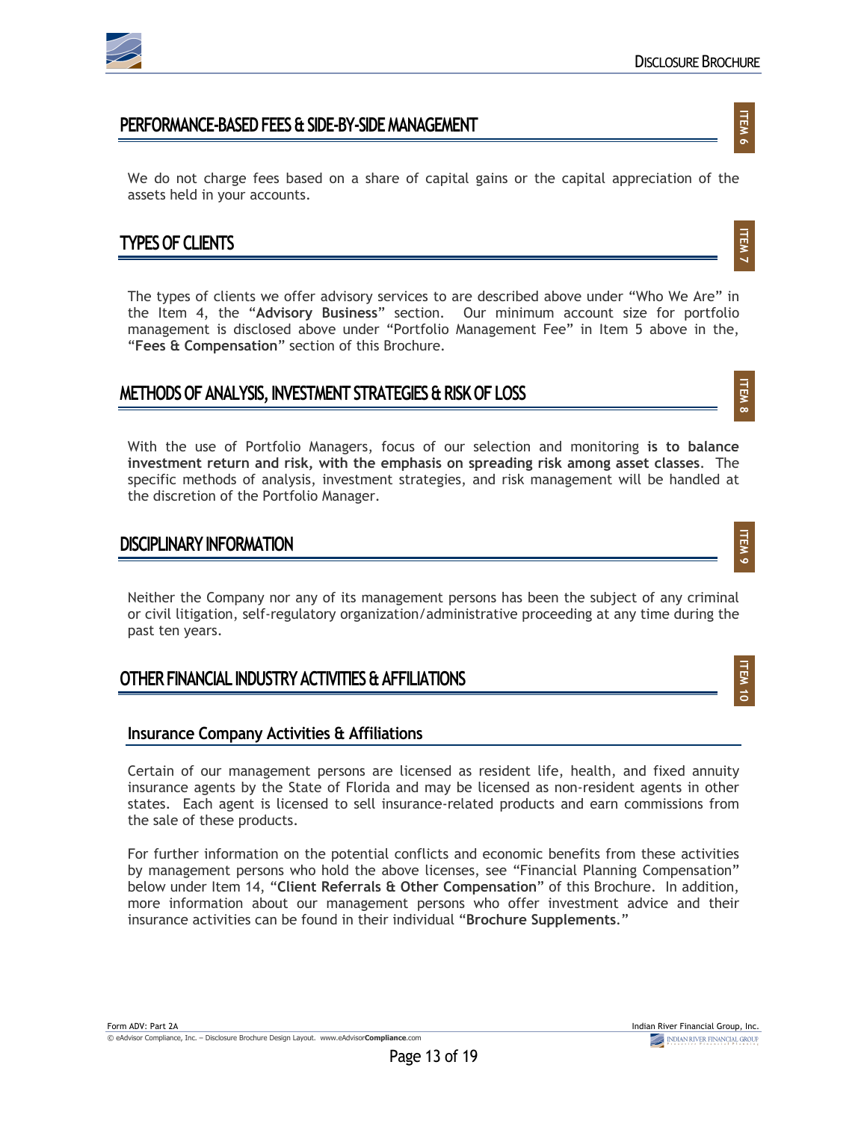

**ITEM 6**

**ITEM 7**

**ITEM 8**

**ITEM 9**

**ITEM** 10

### **PERFORMANCE-BASED FEES & SIDE-BY-SIDE MANAGEMENT**

We do not charge fees based on a share of capital gains or the capital appreciation of the assets held in your accounts.

### **TYPES OF CLIENTS**

The types of clients we offer advisory services to are described above under "Who We Are" in the Item 4, the "**Advisory Business**" section. Our minimum account size for portfolio management is disclosed above under "Portfolio Management Fee" in Item 5 above in the, "**Fees & Compensation**" section of this Brochure.

### **METHODS OF ANALYSIS, INVESTMENT STRATEGIES & RISK OF LOSS**

With the use of Portfolio Managers, focus of our selection and monitoring **is to balance investment return and risk, with the emphasis on spreading risk among asset classes**. The specific methods of analysis, investment strategies, and risk management will be handled at the discretion of the Portfolio Manager.

### **DISCIPLINARY INFORMATION**

Neither the Company nor any of its management persons has been the subject of any criminal or civil litigation, self-regulatory organization/administrative proceeding at any time during the past ten years.

### **OTHER FINANCIAL INDUSTRY ACTIVITIES & AFFILIATIONS**

### **Insurance Company Activities & Affiliations**

Certain of our management persons are licensed as resident life, health, and fixed annuity insurance agents by the State of Florida and may be licensed as non-resident agents in other states. Each agent is licensed to sell insurance-related products and earn commissions from the sale of these products.

For further information on the potential conflicts and economic benefits from these activities by management persons who hold the above licenses, see "Financial Planning Compensation" below under Item 14, "**Client Referrals & Other Compensation**" of this Brochure. In addition, more information about our management persons who offer investment advice and their insurance activities can be found in their individual "**Brochure Supplements**."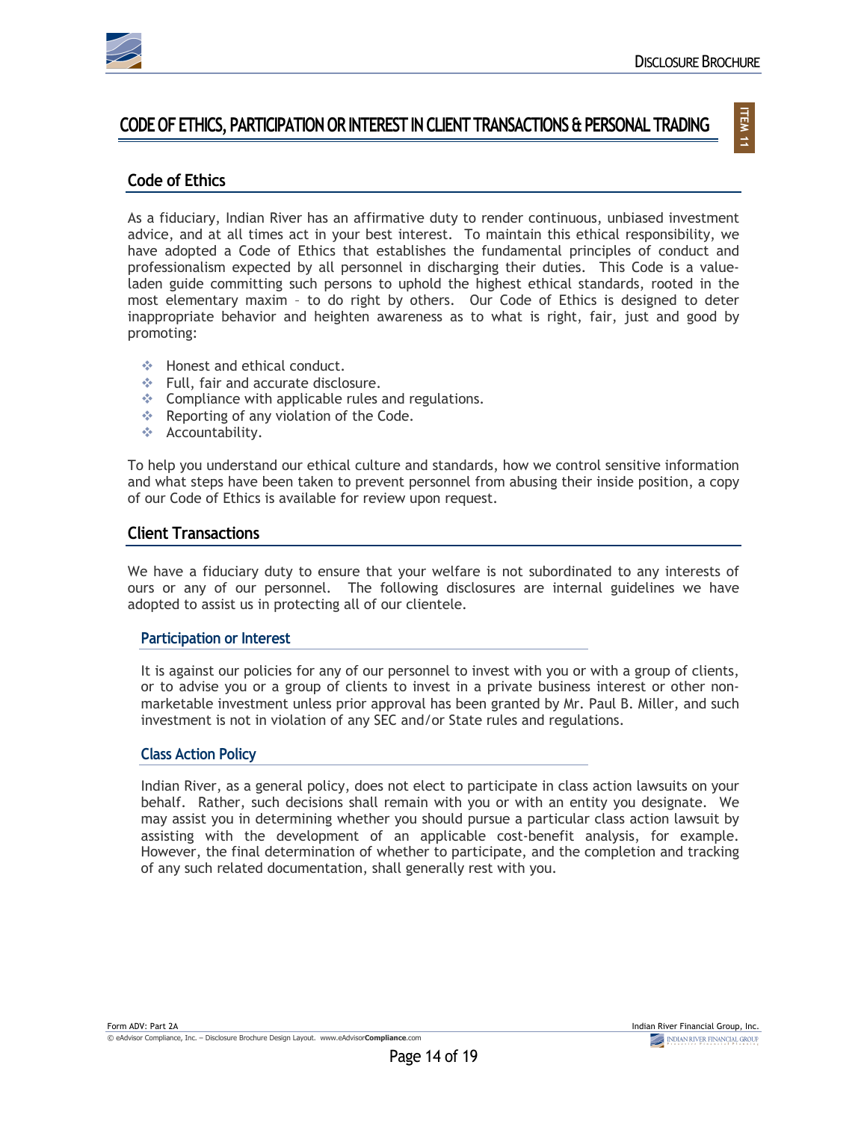

### **CODE OF ETHICS, PARTICIPATION OR INTEREST IN CLIENT TRANSACTIONS & PERSONAL TRADING**

## **ITEM 11**

### **Code of Ethics**

As a fiduciary, Indian River has an affirmative duty to render continuous, unbiased investment advice, and at all times act in your best interest. To maintain this ethical responsibility, we have adopted a Code of Ethics that establishes the fundamental principles of conduct and professionalism expected by all personnel in discharging their duties. This Code is a valueladen guide committing such persons to uphold the highest ethical standards, rooted in the most elementary maxim – to do right by others. Our Code of Ethics is designed to deter inappropriate behavior and heighten awareness as to what is right, fair, just and good by promoting:

- $\div$  Honest and ethical conduct.
- $\div$  Full, fair and accurate disclosure.
- $\div$  Compliance with applicable rules and regulations.
- $\div$  Reporting of any violation of the Code.
- v Accountability.

To help you understand our ethical culture and standards, how we control sensitive information and what steps have been taken to prevent personnel from abusing their inside position, a copy of our Code of Ethics is available for review upon request.

### **Client Transactions**

We have a fiduciary duty to ensure that your welfare is not subordinated to any interests of ours or any of our personnel. The following disclosures are internal guidelines we have adopted to assist us in protecting all of our clientele.

#### **Participation or Interest**

It is against our policies for any of our personnel to invest with you or with a group of clients, or to advise you or a group of clients to invest in a private business interest or other nonmarketable investment unless prior approval has been granted by Mr. Paul B. Miller, and such investment is not in violation of any SEC and/or State rules and regulations.

#### **Class Action Policy**

Indian River, as a general policy, does not elect to participate in class action lawsuits on your behalf. Rather, such decisions shall remain with you or with an entity you designate. We may assist you in determining whether you should pursue a particular class action lawsuit by assisting with the development of an applicable cost-benefit analysis, for example. However, the final determination of whether to participate, and the completion and tracking of any such related documentation, shall generally rest with you.

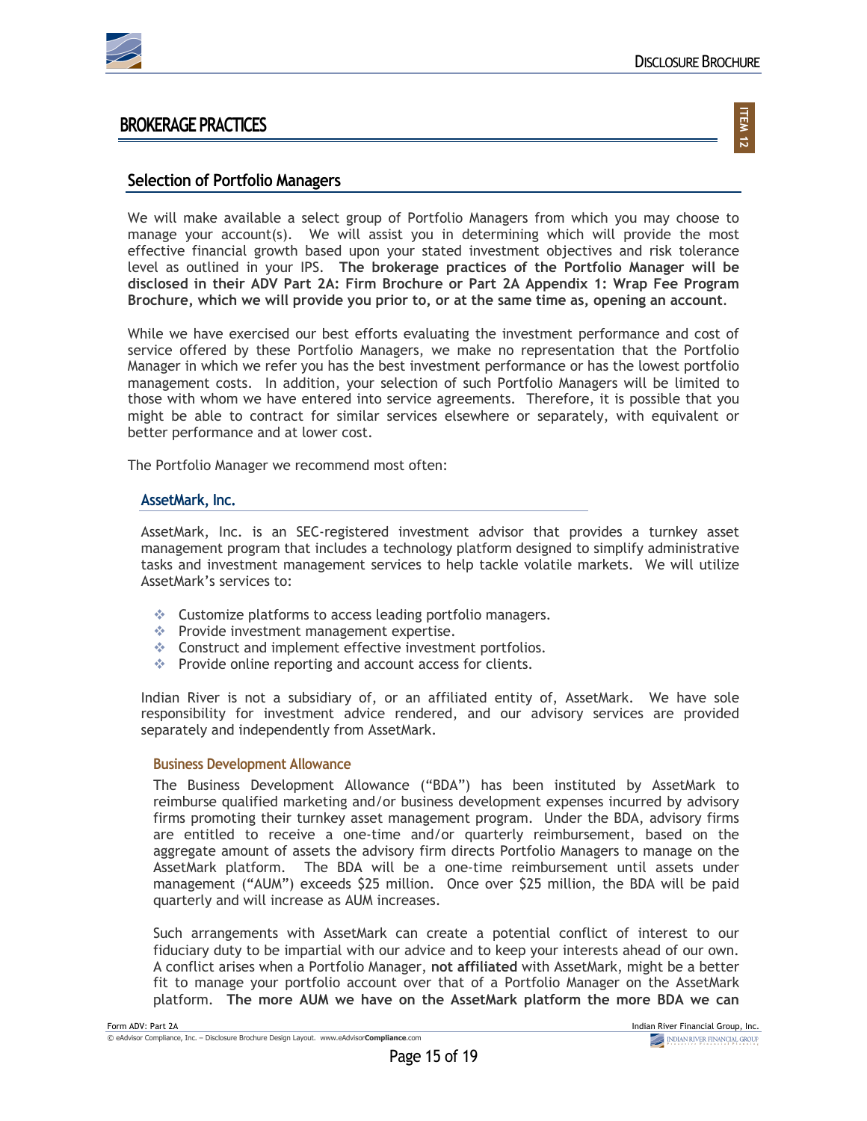

### **BROKERAGE PRACTICES**

## **ITEM 12**

### **Selection of Portfolio Managers**

We will make available a select group of Portfolio Managers from which you may choose to manage your account(s). We will assist you in determining which will provide the most effective financial growth based upon your stated investment objectives and risk tolerance level as outlined in your IPS. **The brokerage practices of the Portfolio Manager will be disclosed in their ADV Part 2A: Firm Brochure or Part 2A Appendix 1: Wrap Fee Program Brochure, which we will provide you prior to, or at the same time as, opening an account**.

While we have exercised our best efforts evaluating the investment performance and cost of service offered by these Portfolio Managers, we make no representation that the Portfolio Manager in which we refer you has the best investment performance or has the lowest portfolio management costs. In addition, your selection of such Portfolio Managers will be limited to those with whom we have entered into service agreements. Therefore, it is possible that you might be able to contract for similar services elsewhere or separately, with equivalent or better performance and at lower cost.

The Portfolio Manager we recommend most often:

#### **AssetMark, Inc.**

AssetMark, Inc. is an SEC-registered investment advisor that provides a turnkey asset management program that includes a technology platform designed to simplify administrative tasks and investment management services to help tackle volatile markets. We will utilize AssetMark's services to:

- $\triangleleft$  Customize platforms to access leading portfolio managers.
- $\cdot$  Provide investment management expertise.
- $\triangleleft$  Construct and implement effective investment portfolios.
- $\triangleq$  Provide online reporting and account access for clients.

Indian River is not a subsidiary of, or an affiliated entity of, AssetMark. We have sole responsibility for investment advice rendered, and our advisory services are provided separately and independently from AssetMark.

#### **Business Development Allowance**

The Business Development Allowance ("BDA") has been instituted by AssetMark to reimburse qualified marketing and/or business development expenses incurred by advisory firms promoting their turnkey asset management program. Under the BDA, advisory firms are entitled to receive a one-time and/or quarterly reimbursement, based on the aggregate amount of assets the advisory firm directs Portfolio Managers to manage on the AssetMark platform. The BDA will be a one-time reimbursement until assets under management ("AUM") exceeds \$25 million. Once over \$25 million, the BDA will be paid quarterly and will increase as AUM increases.

Such arrangements with AssetMark can create a potential conflict of interest to our fiduciary duty to be impartial with our advice and to keep your interests ahead of our own. A conflict arises when a Portfolio Manager, **not affiliated** with AssetMark, might be a better fit to manage your portfolio account over that of a Portfolio Manager on the AssetMark platform. **The more AUM we have on the AssetMark platform the more BDA we can**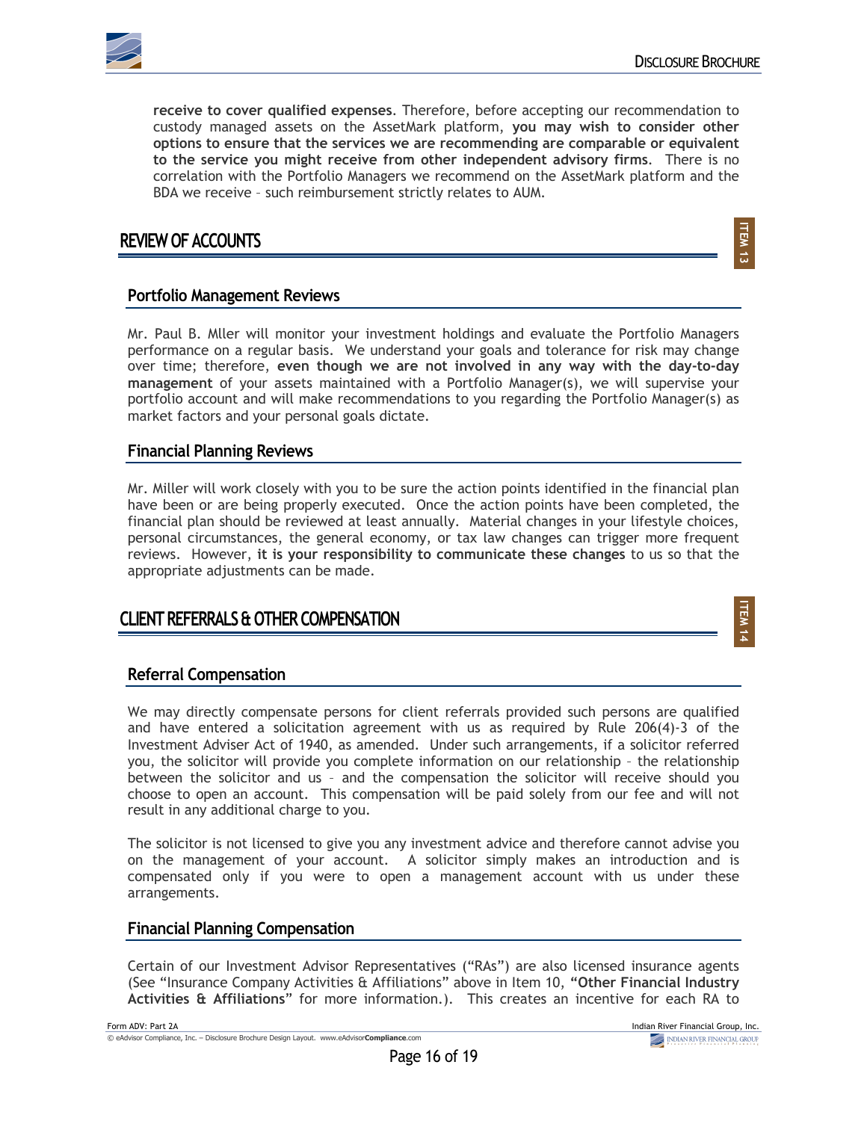

**ITEM** ن<br>س

**ITEM 14**

**receive to cover qualified expenses**. Therefore, before accepting our recommendation to custody managed assets on the AssetMark platform, **you may wish to consider other options to ensure that the services we are recommending are comparable or equivalent to the service you might receive from other independent advisory firms**. There is no correlation with the Portfolio Managers we recommend on the AssetMark platform and the BDA we receive – such reimbursement strictly relates to AUM.

### **REVIEW OF ACCOUNTS**

**Portfolio Management Reviews**

Mr. Paul B. Mller will monitor your investment holdings and evaluate the Portfolio Managers performance on a regular basis. We understand your goals and tolerance for risk may change over time; therefore, **even though we are not involved in any way with the day-to-day management** of your assets maintained with a Portfolio Manager(s), we will supervise your portfolio account and will make recommendations to you regarding the Portfolio Manager(s) as market factors and your personal goals dictate.

### **Financial Planning Reviews**

Mr. Miller will work closely with you to be sure the action points identified in the financial plan have been or are being properly executed. Once the action points have been completed, the financial plan should be reviewed at least annually. Material changes in your lifestyle choices, personal circumstances, the general economy, or tax law changes can trigger more frequent reviews. However, **it is your responsibility to communicate these changes** to us so that the appropriate adjustments can be made.

### **CLIENT REFERRALS & OTHER COMPENSATION**

### **Referral Compensation**

We may directly compensate persons for client referrals provided such persons are qualified and have entered a solicitation agreement with us as required by Rule 206(4)-3 of the Investment Adviser Act of 1940, as amended. Under such arrangements, if a solicitor referred you, the solicitor will provide you complete information on our relationship – the relationship between the solicitor and us – and the compensation the solicitor will receive should you choose to open an account. This compensation will be paid solely from our fee and will not result in any additional charge to you.

The solicitor is not licensed to give you any investment advice and therefore cannot advise you on the management of your account. A solicitor simply makes an introduction and is compensated only if you were to open a management account with us under these arrangements.

### **Financial Planning Compensation**

Certain of our Investment Advisor Representatives ("RAs") are also licensed insurance agents (See "Insurance Company Activities & Affiliations" above in Item 10, **"Other Financial Industry Activities & Affiliations**" for more information.). This creates an incentive for each RA to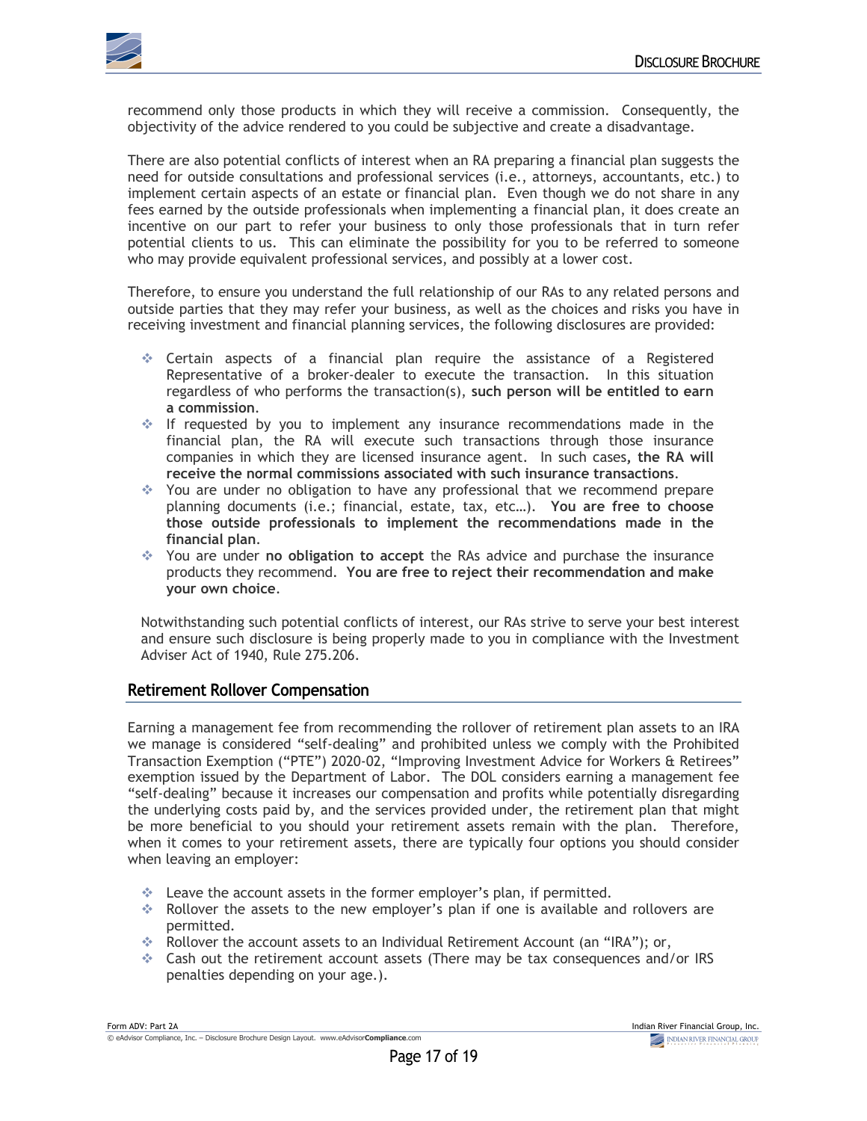

recommend only those products in which they will receive a commission. Consequently, the objectivity of the advice rendered to you could be subjective and create a disadvantage.

There are also potential conflicts of interest when an RA preparing a financial plan suggests the need for outside consultations and professional services (i.e., attorneys, accountants, etc.) to implement certain aspects of an estate or financial plan. Even though we do not share in any fees earned by the outside professionals when implementing a financial plan, it does create an incentive on our part to refer your business to only those professionals that in turn refer potential clients to us. This can eliminate the possibility for you to be referred to someone who may provide equivalent professional services, and possibly at a lower cost.

Therefore, to ensure you understand the full relationship of our RAs to any related persons and outside parties that they may refer your business, as well as the choices and risks you have in receiving investment and financial planning services, the following disclosures are provided:

- v Certain aspects of a financial plan require the assistance of a Registered Representative of a broker-dealer to execute the transaction. In this situation regardless of who performs the transaction(s), **such person will be entitled to earn a commission**.
- $\div$  If requested by you to implement any insurance recommendations made in the financial plan, the RA will execute such transactions through those insurance companies in which they are licensed insurance agent. In such cases**, the RA will receive the normal commissions associated with such insurance transactions**.
- \* You are under no obligation to have any professional that we recommend prepare planning documents (i.e.; financial, estate, tax, etc…). **You are free to choose those outside professionals to implement the recommendations made in the financial plan**.
- v You are under **no obligation to accept** the RAs advice and purchase the insurance products they recommend. **You are free to reject their recommendation and make your own choice**.

Notwithstanding such potential conflicts of interest, our RAs strive to serve your best interest and ensure such disclosure is being properly made to you in compliance with the Investment Adviser Act of 1940, Rule 275.206.

### **Retirement Rollover Compensation**

Earning a management fee from recommending the rollover of retirement plan assets to an IRA we manage is considered "self-dealing" and prohibited unless we comply with the Prohibited Transaction Exemption ("PTE") 2020-02, "Improving Investment Advice for Workers & Retirees" exemption issued by the Department of Labor. The DOL considers earning a management fee "self-dealing" because it increases our compensation and profits while potentially disregarding the underlying costs paid by, and the services provided under, the retirement plan that might be more beneficial to you should your retirement assets remain with the plan. Therefore, when it comes to your retirement assets, there are typically four options you should consider when leaving an employer:

- leave the account assets in the former employer's plan, if permitted.
- $\bullet$  Rollover the assets to the new employer's plan if one is available and rollovers are permitted.
- \* Rollover the account assets to an Individual Retirement Account (an "IRA"); or,
- $\div$  Cash out the retirement account assets (There may be tax consequences and/or IRS penalties depending on your age.).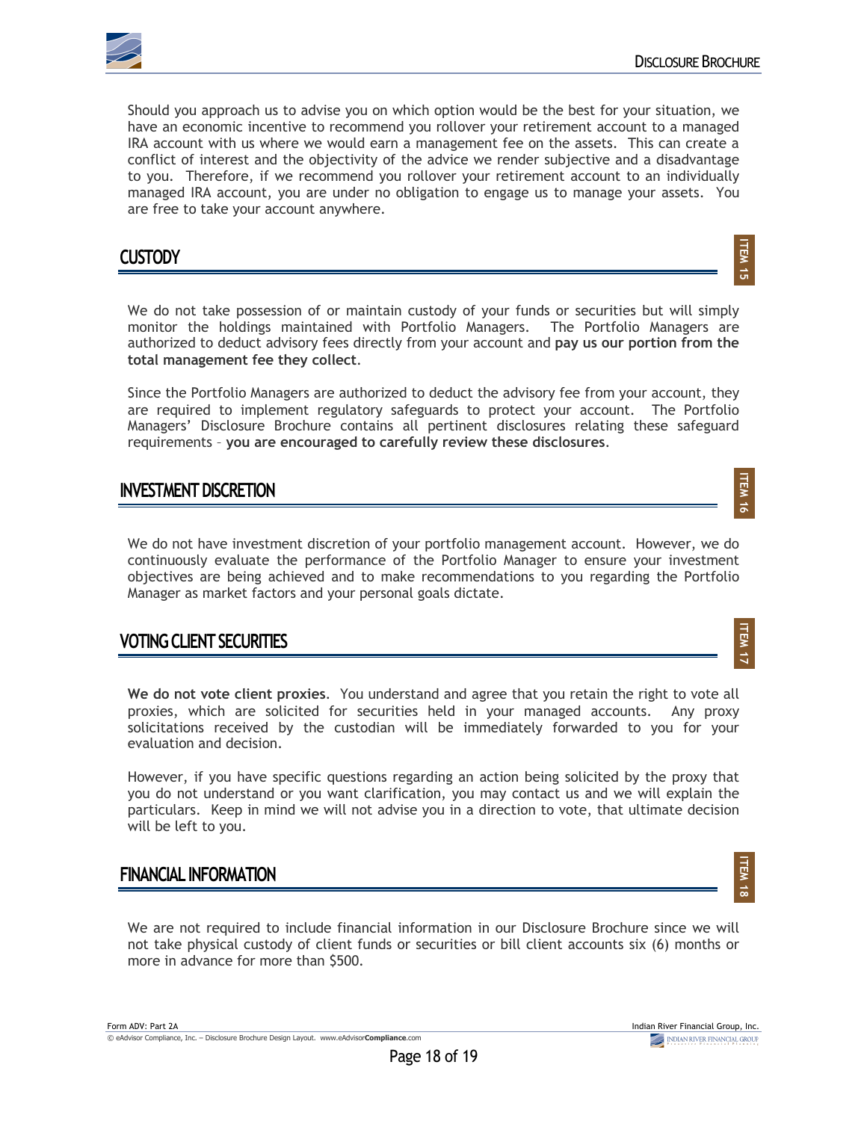

**ITEM** <u>ជា</u>

**ITEM** ল<br>ক

**ITEM 17**

**ITEM** ক্ত

Should you approach us to advise you on which option would be the best for your situation, we have an economic incentive to recommend you rollover your retirement account to a managed IRA account with us where we would earn a management fee on the assets. This can create a conflict of interest and the objectivity of the advice we render subjective and a disadvantage to you. Therefore, if we recommend you rollover your retirement account to an individually managed IRA account, you are under no obligation to engage us to manage your assets. You are free to take your account anywhere.

### **CUSTODY**

We do not take possession of or maintain custody of your funds or securities but will simply monitor the holdings maintained with Portfolio Managers. The Portfolio Managers are authorized to deduct advisory fees directly from your account and **pay us our portion from the total management fee they collect**.

Since the Portfolio Managers are authorized to deduct the advisory fee from your account, they are required to implement regulatory safeguards to protect your account. The Portfolio Managers' Disclosure Brochure contains all pertinent disclosures relating these safeguard requirements – **you are encouraged to carefully review these disclosures**.

### **INVESTMENT DISCRETION**

We do not have investment discretion of your portfolio management account. However, we do continuously evaluate the performance of the Portfolio Manager to ensure your investment objectives are being achieved and to make recommendations to you regarding the Portfolio Manager as market factors and your personal goals dictate.

### **VOTING CLIENT SECURITIES**

**We do not vote client proxies**. You understand and agree that you retain the right to vote all proxies, which are solicited for securities held in your managed accounts. Any proxy solicitations received by the custodian will be immediately forwarded to you for your evaluation and decision.

However, if you have specific questions regarding an action being solicited by the proxy that you do not understand or you want clarification, you may contact us and we will explain the particulars. Keep in mind we will not advise you in a direction to vote, that ultimate decision will be left to you.

### **FINANCIAL INFORMATION**

We are not required to include financial information in our Disclosure Brochure since we will not take physical custody of client funds or securities or bill client accounts six (6) months or more in advance for more than \$500.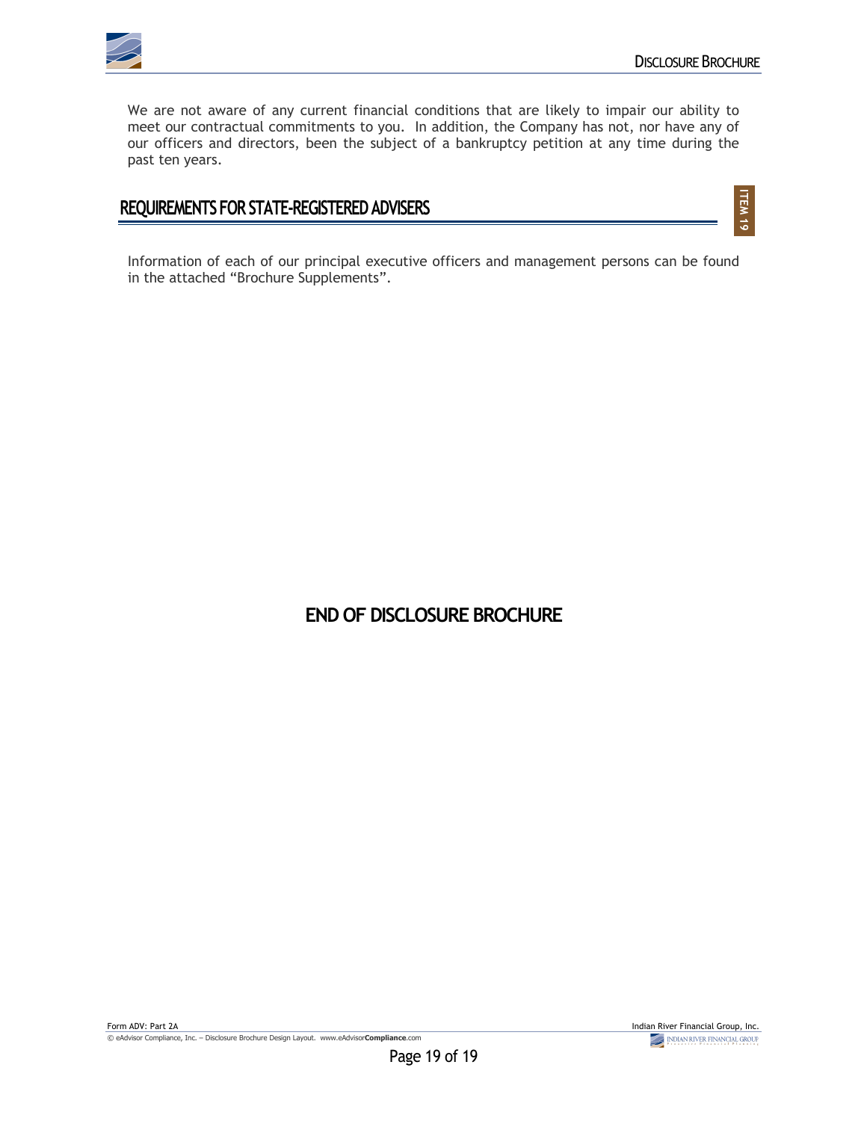

**ITEM** ত<br>ত

We are not aware of any current financial conditions that are likely to impair our ability to meet our contractual commitments to you. In addition, the Company has not, nor have any of our officers and directors, been the subject of a bankruptcy petition at any time during the past ten years.

### **REQUIREMENTS FOR STATE-REGISTERED ADVISERS**

Information of each of our principal executive officers and management persons can be found in the attached "Brochure Supplements".

## **END OF DISCLOSURE BROCHURE**

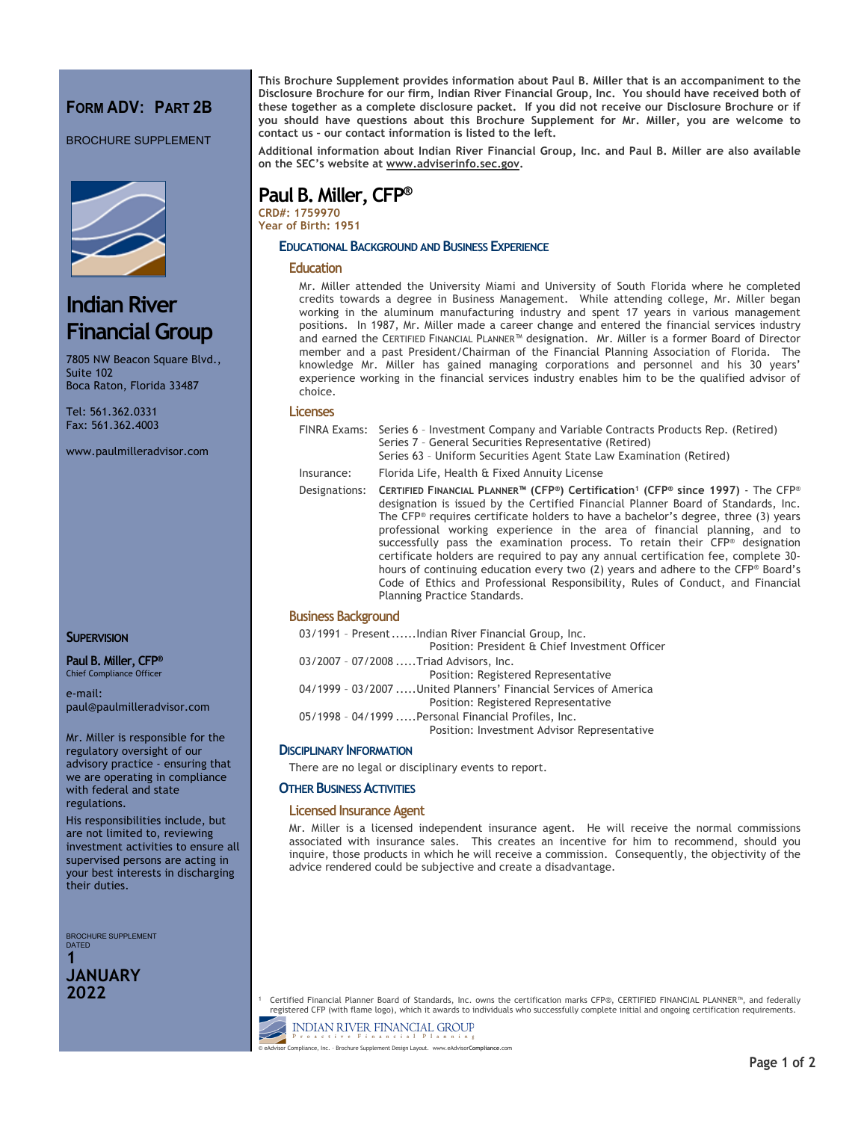### **FORM ADV: PART 2B**

BROCHURE SUPPLEMENT



## **Indian River Financial Group**

7805 NW Beacon Square Blvd., Suite 102 Boca Raton, Florida 33487

Tel: 561.362.0331 Fax: 561.362.4003

www.paulmilleradvisor.com

#### **SUPERVISION**

**Paul B. Miller, CFP®** Chief Compliance Officer

e-mail: paul@paulmilleradvisor.com

Mr. Miller is responsible for the regulatory oversight of our advisory practice - ensuring that we are operating in compliance with federal and state regulations.

His responsibilities include, but are not limited to, reviewing investment activities to ensure all supervised persons are acting in your best interests in discharging their duties.

BROCHURE SUPPLEMENT DATED

**1 JANUARY 2022**

**This Brochure Supplement provides information about Paul B. Miller that is an accompaniment to the Disclosure Brochure for our firm, Indian River Financial Group, Inc. You should have received both of these together as a complete disclosure packet. If you did not receive our Disclosure Brochure or if you should have questions about this Brochure Supplement for Mr. Miller, you are welcome to contact us – our contact information is listed to the left.**

**Additional information about Indian River Financial Group, Inc. and Paul B. Miller are also available on the SEC's website at www.adviserinfo.sec.gov.**

## **Paul B. Miller, CFP®**

**CRD#: 1759970 Year of Birth: 1951**

#### **EDUCATIONAL BACKGROUND AND BUSINESS EXPERIENCE**

#### **Education**

Mr. Miller attended the University Miami and University of South Florida where he completed credits towards a degree in Business Management. While attending college, Mr. Miller began working in the aluminum manufacturing industry and spent 17 years in various management positions. In 1987, Mr. Miller made a career change and entered the financial services industry and earned the CERTIFIED FINANCIAL PLANNER™ designation. Mr. Miller is a former Board of Director member and a past President/Chairman of the Financial Planning Association of Florida. The knowledge Mr. Miller has gained managing corporations and personnel and his 30 years' experience working in the financial services industry enables him to be the qualified advisor of choice.

#### **Licenses**

|               | FINRA Exams: Series 6 - Investment Company and Variable Contracts Products Rep. (Retired)<br>Series 7 - General Securities Representative (Retired)<br>Series 63 - Uniform Securities Agent State Law Examination (Retired)                                                                                                                                                                                                                                                                                                                                                                                                                                                                                                                                         |
|---------------|---------------------------------------------------------------------------------------------------------------------------------------------------------------------------------------------------------------------------------------------------------------------------------------------------------------------------------------------------------------------------------------------------------------------------------------------------------------------------------------------------------------------------------------------------------------------------------------------------------------------------------------------------------------------------------------------------------------------------------------------------------------------|
| Insurance:    | Florida Life, Health & Fixed Annuity License                                                                                                                                                                                                                                                                                                                                                                                                                                                                                                                                                                                                                                                                                                                        |
| Designations: | CERTIFIED FINANCIAL PLANNER <sup>™</sup> (CFP®) Certification <sup>1</sup> (CFP® since 1997) - The CFP®<br>designation is issued by the Certified Financial Planner Board of Standards, Inc.<br>The CFP <sup>®</sup> requires certificate holders to have a bachelor's degree, three (3) years<br>professional working experience in the area of financial planning, and to<br>successfully pass the examination process. To retain their CFP <sup>®</sup> designation<br>certificate holders are required to pay any annual certification fee, complete 30-<br>hours of continuing education every two (2) years and adhere to the CFP® Board's<br>Code of Ethics and Professional Responsibility, Rules of Conduct, and Financial<br>Planning Practice Standards. |

#### **Business Background**

| 03/1991 - PresentIndian River Financial Group, Inc.              |
|------------------------------------------------------------------|
| Position: President & Chief Investment Officer                   |
| 03/2007 - 07/2008 Triad Advisors, Inc.                           |
| Position: Registered Representative                              |
| 04/1999 - 03/2007 United Planners' Financial Services of America |
| Position: Registered Representative                              |
| 05/1998 - 04/1999  Personal Financial Profiles, Inc.             |
| Position: Investment Advisor Representative                      |
|                                                                  |

#### **DISCIPLINARY INFORMATION**

There are no legal or disciplinary events to report.

#### **OTHER BUSINESS ACTIVITIES**

#### **Licensed Insurance Agent**

Mr. Miller is a licensed independent insurance agent. He will receive the normal commissions associated with insurance sales. This creates an incentive for him to recommend, should you inquire, those products in which he will receive a commission. Consequently, the objectivity of the advice rendered could be subjective and create a disadvantage.

<sup>1</sup> Certified Financial Planner Board of Standards, Inc. owns the certification marks CFP®, CERTIFIED FINANCIAL PLANNER™, and federally<br>Fegistered CFP (with flame logo), which it awards to individuals who successfully com

**INDIAN RIVER FINANCIAL GROUP** Finan © eAdvisor Compliance, Inc. – Brochure Supplement Design Layout. www.eAdvisor**Compliance**.com